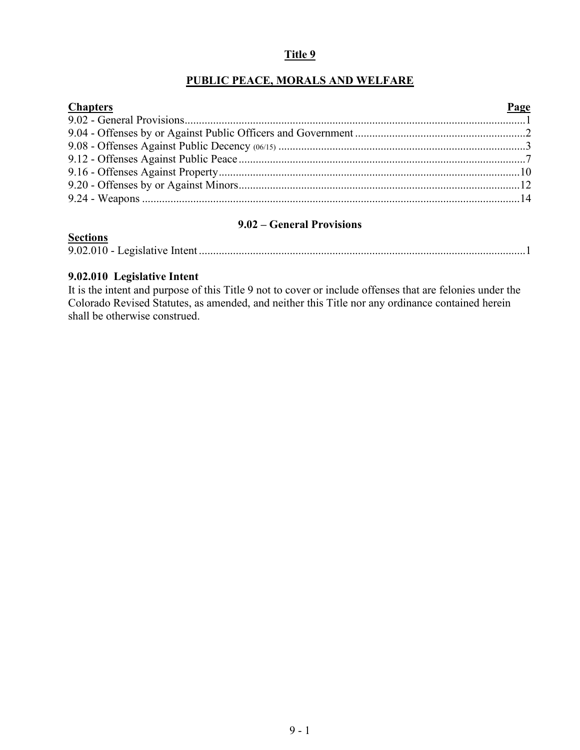# **Title 9**

# **PUBLIC PEACE, MORALS AND WELFARE**

| <b>Chapters</b> | Page |
|-----------------|------|
|                 |      |
|                 |      |
|                 |      |
|                 |      |
|                 |      |
|                 |      |
|                 |      |

# **9.02 – General Provisions**

# **Sections** 9.02.010 - Legislative Intent ...................................................................................................................1

#### **9.02.010 Legislative Intent**

<span id="page-0-0"></span>It is the intent and purpose of this Title 9 not to cover or include offenses that are felonies under the Colorado Revised Statutes, as amended, and neither this Title nor any ordinance contained herein shall be otherwise construed.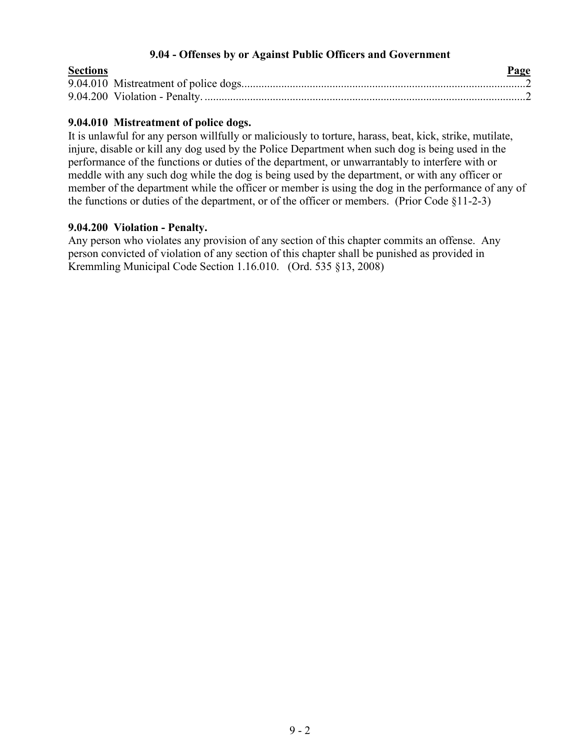## **9.04 - Offenses by or Against Public Officers and Government**

| <b>Sections</b> | Page |
|-----------------|------|
|                 |      |
|                 |      |

## **9.04.010 Mistreatment of police dogs.**

It is unlawful for any person willfully or maliciously to torture, harass, beat, kick, strike, mutilate, injure, disable or kill any dog used by the Police Department when such dog is being used in the performance of the functions or duties of the department, or unwarrantably to interfere with or meddle with any such dog while the dog is being used by the department, or with any officer or member of the department while the officer or member is using the dog in the performance of any of the functions or duties of the department, or of the officer or members. (Prior Code §11-2-3)

#### **9.04.200 Violation - Penalty.**

Any person who violates any provision of any section of this chapter commits an offense. Any person convicted of violation of any section of this chapter shall be punished as provided in Kremmling Municipal Code Section 1.16.010. (Ord. 535 §13, 2008)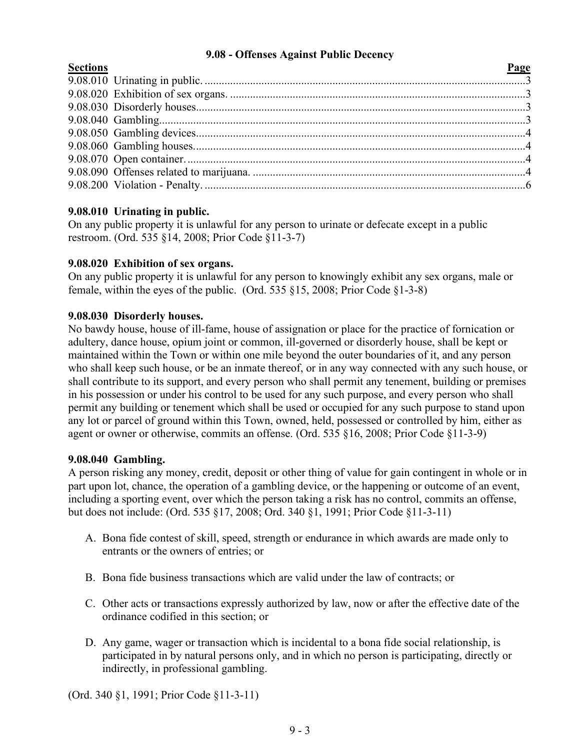# **9.08 - Offenses Against Public Decency**

<span id="page-2-0"></span>

| <b>Sections</b> | Page |
|-----------------|------|
|                 |      |
|                 |      |
|                 |      |
|                 |      |
|                 |      |
|                 |      |
|                 |      |
|                 |      |
|                 |      |
|                 |      |

# **9.08.010 Urinating in public.**

On any public property it is unlawful for any person to urinate or defecate except in a public restroom. (Ord. 535 §14, 2008; Prior Code §11-3-7)

# **9.08.020 Exhibition of sex organs.**

On any public property it is unlawful for any person to knowingly exhibit any sex organs, male or female, within the eyes of the public. (Ord. 535 §15, 2008; Prior Code §1-3-8)

# **9.08.030 Disorderly houses.**

No bawdy house, house of ill-fame, house of assignation or place for the practice of fornication or adultery, dance house, opium joint or common, ill-governed or disorderly house, shall be kept or maintained within the Town or within one mile beyond the outer boundaries of it, and any person who shall keep such house, or be an inmate thereof, or in any way connected with any such house, or shall contribute to its support, and every person who shall permit any tenement, building or premises in his possession or under his control to be used for any such purpose, and every person who shall permit any building or tenement which shall be used or occupied for any such purpose to stand upon any lot or parcel of ground within this Town, owned, held, possessed or controlled by him, either as agent or owner or otherwise, commits an offense. (Ord. 535 §16, 2008; Prior Code §11-3-9)

# **9.08.040 Gambling.**

A person risking any money, credit, deposit or other thing of value for gain contingent in whole or in part upon lot, chance, the operation of a gambling device, or the happening or outcome of an event, including a sporting event, over which the person taking a risk has no control, commits an offense, but does not include: (Ord. 535 §17, 2008; Ord. 340 §1, 1991; Prior Code §11-3-11)

- A. Bona fide contest of skill, speed, strength or endurance in which awards are made only to entrants or the owners of entries; or
- B. Bona fide business transactions which are valid under the law of contracts; or
- C. Other acts or transactions expressly authorized by law, now or after the effective date of the ordinance codified in this section; or
- D. Any game, wager or transaction which is incidental to a bona fide social relationship, is participated in by natural persons only, and in which no person is participating, directly or indirectly, in professional gambling.

(Ord. 340 §1, 1991; Prior Code §11-3-11)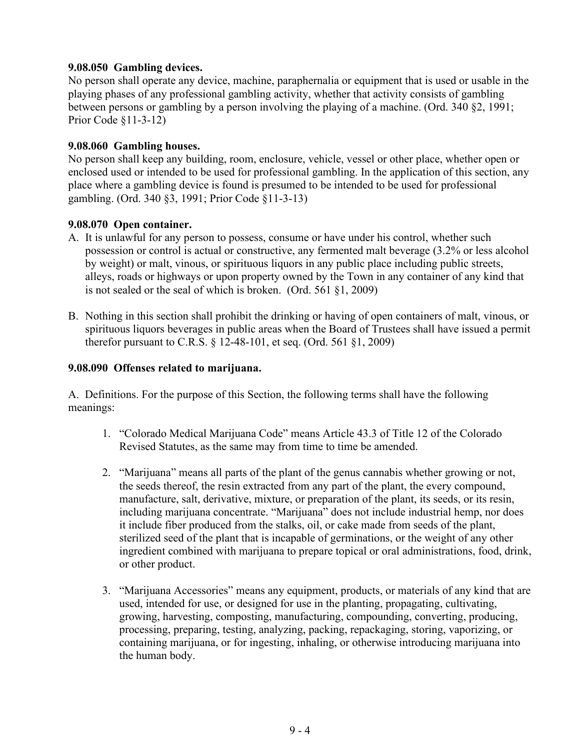# **9.08.050 Gambling devices.**

No person shall operate any device, machine, paraphernalia or equipment that is used or usable in the playing phases of any professional gambling activity, whether that activity consists of gambling between persons or gambling by a person involving the playing of a machine. (Ord. 340 §2, 1991; Prior Code §11-3-12)

## **9.08.060 Gambling houses.**

No person shall keep any building, room, enclosure, vehicle, vessel or other place, whether open or enclosed used or intended to be used for professional gambling. In the application of this section, any place where a gambling device is found is presumed to be intended to be used for professional gambling. (Ord. 340 §3, 1991; Prior Code §11-3-13)

### **9.08.070 Open container.**

- A. It is unlawful for any person to possess, consume or have under his control, whether such possession or control is actual or constructive, any fermented malt beverage (3.2% or less alcohol by weight) or malt, vinous, or spirituous liquors in any public place including public streets, alleys, roads or highways or upon property owned by the Town in any container of any kind that is not sealed or the seal of which is broken. (Ord. 561 §1, 2009)
- B. Nothing in this section shall prohibit the drinking or having of open containers of malt, vinous, or spirituous liquors beverages in public areas when the Board of Trustees shall have issued a permit therefor pursuant to C.R.S. § 12-48-101, et seq. (Ord. 561 §1, 2009)

### **9.08.090 Offenses related to marijuana.**

A. Definitions. For the purpose of this Section, the following terms shall have the following meanings:

- 1. "Colorado Medical Marijuana Code" means Article 43.3 of Title 12 of the Colorado Revised Statutes, as the same may from time to time be amended.
- 2. "Marijuana" means all parts of the plant of the genus cannabis whether growing or not, the seeds thereof, the resin extracted from any part of the plant, the every compound, manufacture, salt, derivative, mixture, or preparation of the plant, its seeds, or its resin, including marijuana concentrate. "Marijuana" does not include industrial hemp, nor does it include fiber produced from the stalks, oil, or cake made from seeds of the plant, sterilized seed of the plant that is incapable of germinations, or the weight of any other ingredient combined with marijuana to prepare topical or oral administrations, food, drink, or other product.
- 3. "Marijuana Accessories" means any equipment, products, or materials of any kind that are used, intended for use, or designed for use in the planting, propagating, cultivating, growing, harvesting, composting, manufacturing, compounding, converting, producing, processing, preparing, testing, analyzing, packing, repackaging, storing, vaporizing, or containing marijuana, or for ingesting, inhaling, or otherwise introducing marijuana into the human body.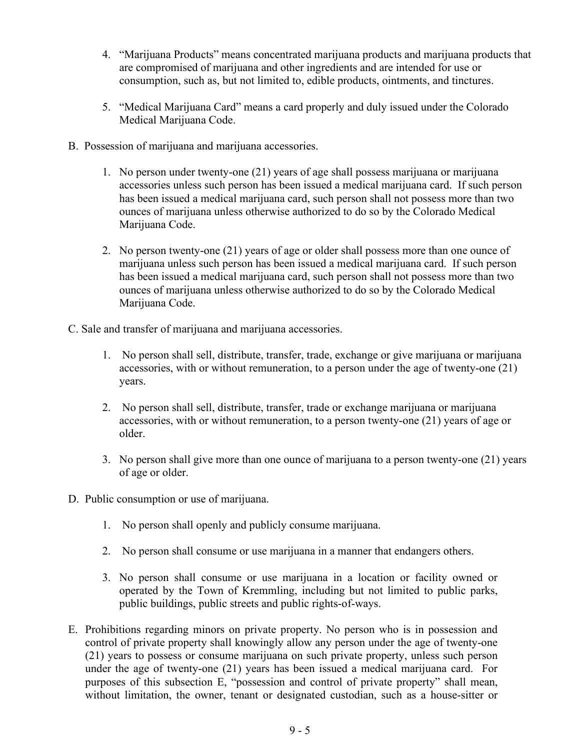- 4. "Marijuana Products" means concentrated marijuana products and marijuana products that are compromised of marijuana and other ingredients and are intended for use or consumption, such as, but not limited to, edible products, ointments, and tinctures.
- 5. "Medical Marijuana Card" means a card properly and duly issued under the Colorado Medical Marijuana Code.
- B. Possession of marijuana and marijuana accessories.
	- 1. No person under twenty-one (21) years of age shall possess marijuana or marijuana accessories unless such person has been issued a medical marijuana card. If such person has been issued a medical marijuana card, such person shall not possess more than two ounces of marijuana unless otherwise authorized to do so by the Colorado Medical Marijuana Code.
	- 2. No person twenty-one (21) years of age or older shall possess more than one ounce of marijuana unless such person has been issued a medical marijuana card. If such person has been issued a medical marijuana card, such person shall not possess more than two ounces of marijuana unless otherwise authorized to do so by the Colorado Medical Marijuana Code.
- C. Sale and transfer of marijuana and marijuana accessories.
	- 1. No person shall sell, distribute, transfer, trade, exchange or give marijuana or marijuana accessories, with or without remuneration, to a person under the age of twenty-one (21) years.
	- 2. No person shall sell, distribute, transfer, trade or exchange marijuana or marijuana accessories, with or without remuneration, to a person twenty-one (21) years of age or older.
	- 3. No person shall give more than one ounce of marijuana to a person twenty-one (21) years of age or older.
- D. Public consumption or use of marijuana.
	- 1. No person shall openly and publicly consume marijuana.
	- 2. No person shall consume or use marijuana in a manner that endangers others.
	- 3. No person shall consume or use marijuana in a location or facility owned or operated by the Town of Kremmling, including but not limited to public parks, public buildings, public streets and public rights-of-ways.
- E. Prohibitions regarding minors on private property. No person who is in possession and control of private property shall knowingly allow any person under the age of twenty-one (21) years to possess or consume marijuana on such private property, unless such person under the age of twenty-one (21) years has been issued a medical marijuana card. For purposes of this subsection E, "possession and control of private property" shall mean, without limitation, the owner, tenant or designated custodian, such as a house-sitter or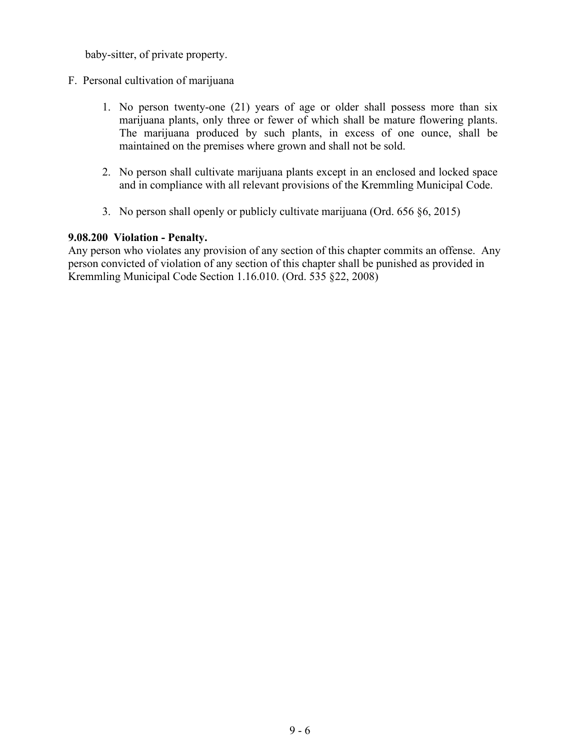baby-sitter, of private property.

- F. Personal cultivation of marijuana
	- 1. No person twenty-one (21) years of age or older shall possess more than six marijuana plants, only three or fewer of which shall be mature flowering plants. The marijuana produced by such plants, in excess of one ounce, shall be maintained on the premises where grown and shall not be sold.
	- 2. No person shall cultivate marijuana plants except in an enclosed and locked space and in compliance with all relevant provisions of the Kremmling Municipal Code.
	- 3. No person shall openly or publicly cultivate marijuana (Ord. 656 §6, 2015)

### **9.08.200 Violation - Penalty.**

Any person who violates any provision of any section of this chapter commits an offense. Any person convicted of violation of any section of this chapter shall be punished as provided in Kremmling Municipal Code Section 1.16.010. (Ord. 535 §22, 2008)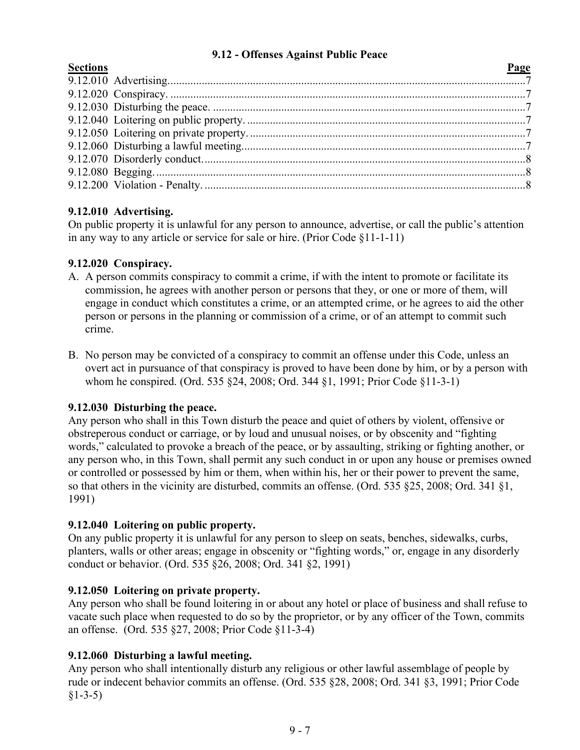# **9.12 - Offenses Against Public Peace**

<span id="page-6-0"></span>

| <b>Sections</b> | Page |
|-----------------|------|
|                 |      |
|                 |      |
|                 |      |
|                 |      |
|                 |      |
|                 |      |
|                 |      |
|                 |      |
|                 |      |
|                 |      |

# **9.12.010 Advertising.**

On public property it is unlawful for any person to announce, advertise, or call the public's attention in any way to any article or service for sale or hire. (Prior Code §11-1-11)

# **9.12.020 Conspiracy.**

- A. A person commits conspiracy to commit a crime, if with the intent to promote or facilitate its commission, he agrees with another person or persons that they, or one or more of them, will engage in conduct which constitutes a crime, or an attempted crime, or he agrees to aid the other person or persons in the planning or commission of a crime, or of an attempt to commit such crime.
- B. No person may be convicted of a conspiracy to commit an offense under this Code, unless an overt act in pursuance of that conspiracy is proved to have been done by him, or by a person with whom he conspired. (Ord. 535 §24, 2008; Ord. 344 §1, 1991; Prior Code §11-3-1)

# **9.12.030 Disturbing the peace.**

Any person who shall in this Town disturb the peace and quiet of others by violent, offensive or obstreperous conduct or carriage, or by loud and unusual noises, or by obscenity and "fighting words," calculated to provoke a breach of the peace, or by assaulting, striking or fighting another, or any person who, in this Town, shall permit any such conduct in or upon any house or premises owned or controlled or possessed by him or them, when within his, her or their power to prevent the same, so that others in the vicinity are disturbed, commits an offense. (Ord. 535 §25, 2008; Ord. 341 §1, 1991)

# **9.12.040 Loitering on public property.**

On any public property it is unlawful for any person to sleep on seats, benches, sidewalks, curbs, planters, walls or other areas; engage in obscenity or "fighting words," or, engage in any disorderly conduct or behavior. (Ord. 535 §26, 2008; Ord. 341 §2, 1991)

# **9.12.050 Loitering on private property.**

Any person who shall be found loitering in or about any hotel or place of business and shall refuse to vacate such place when requested to do so by the proprietor, or by any officer of the Town, commits an offense. (Ord. 535 §27, 2008; Prior Code §11-3-4)

# **9.12.060 Disturbing a lawful meeting.**

Any person who shall intentionally disturb any religious or other lawful assemblage of people by rude or indecent behavior commits an offense. (Ord. 535 §28, 2008; Ord. 341 §3, 1991; Prior Code  $§1 - 3 - 5)$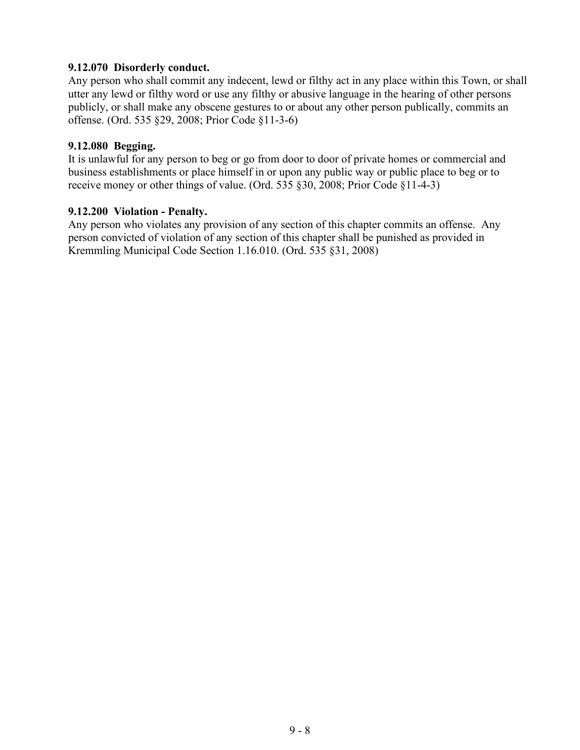## **9.12.070 Disorderly conduct.**

Any person who shall commit any indecent, lewd or filthy act in any place within this Town, or shall utter any lewd or filthy word or use any filthy or abusive language in the hearing of other persons publicly, or shall make any obscene gestures to or about any other person publically, commits an offense. (Ord. 535 §29, 2008; Prior Code §11-3-6)

### **9.12.080 Begging.**

It is unlawful for any person to beg or go from door to door of private homes or commercial and business establishments or place himself in or upon any public way or public place to beg or to receive money or other things of value. (Ord. 535 §30, 2008; Prior Code §11-4-3)

### **9.12.200 Violation - Penalty.**

Any person who violates any provision of any section of this chapter commits an offense. Any person convicted of violation of any section of this chapter shall be punished as provided in Kremmling Municipal Code Section 1.16.010. (Ord. 535 §31, 2008)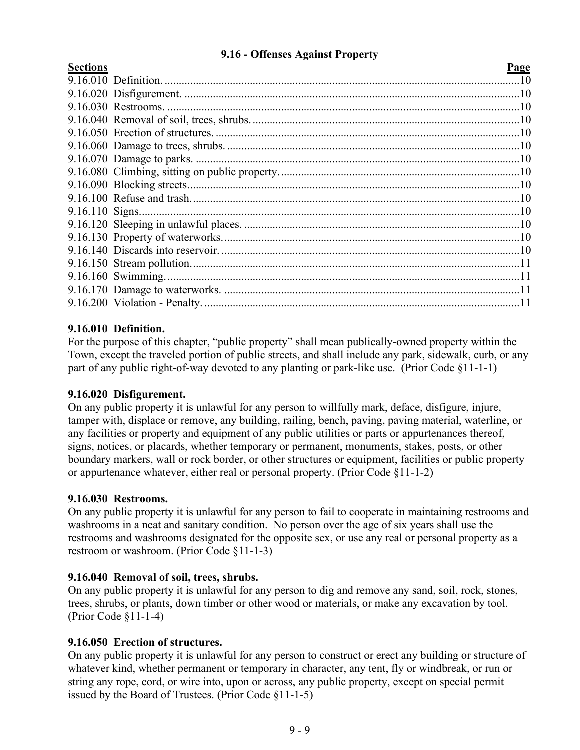## **9.16 - Offenses Against Property**

<span id="page-8-0"></span>

| <b>Sections</b> |  |
|-----------------|--|
|                 |  |

| <b>Sections</b> | <b>Page</b> |
|-----------------|-------------|
|                 |             |
|                 |             |
|                 |             |
|                 |             |
|                 |             |
|                 |             |
|                 |             |
|                 |             |
|                 |             |
|                 |             |
|                 |             |
|                 |             |
|                 |             |
|                 |             |
|                 |             |
|                 |             |
|                 |             |
|                 |             |

### **9.16.010 Definition.**

For the purpose of this chapter, "public property" shall mean publically-owned property within the Town, except the traveled portion of public streets, and shall include any park, sidewalk, curb, or any part of any public right-of-way devoted to any planting or park-like use. (Prior Code §11-1-1)

#### **9.16.020 Disfigurement.**

On any public property it is unlawful for any person to willfully mark, deface, disfigure, injure, tamper with, displace or remove, any building, railing, bench, paving, paving material, waterline, or any facilities or property and equipment of any public utilities or parts or appurtenances thereof, signs, notices, or placards, whether temporary or permanent, monuments, stakes, posts, or other boundary markers, wall or rock border, or other structures or equipment, facilities or public property or appurtenance whatever, either real or personal property. (Prior Code §11-1-2)

# **9.16.030 Restrooms.**

On any public property it is unlawful for any person to fail to cooperate in maintaining restrooms and washrooms in a neat and sanitary condition. No person over the age of six years shall use the restrooms and washrooms designated for the opposite sex, or use any real or personal property as a restroom or washroom. (Prior Code §11-1-3)

#### **9.16.040 Removal of soil, trees, shrubs.**

On any public property it is unlawful for any person to dig and remove any sand, soil, rock, stones, trees, shrubs, or plants, down timber or other wood or materials, or make any excavation by tool. (Prior Code §11-1-4)

#### **9.16.050 Erection of structures.**

On any public property it is unlawful for any person to construct or erect any building or structure of whatever kind, whether permanent or temporary in character, any tent, fly or windbreak, or run or string any rope, cord, or wire into, upon or across, any public property, except on special permit issued by the Board of Trustees. (Prior Code §11-1-5)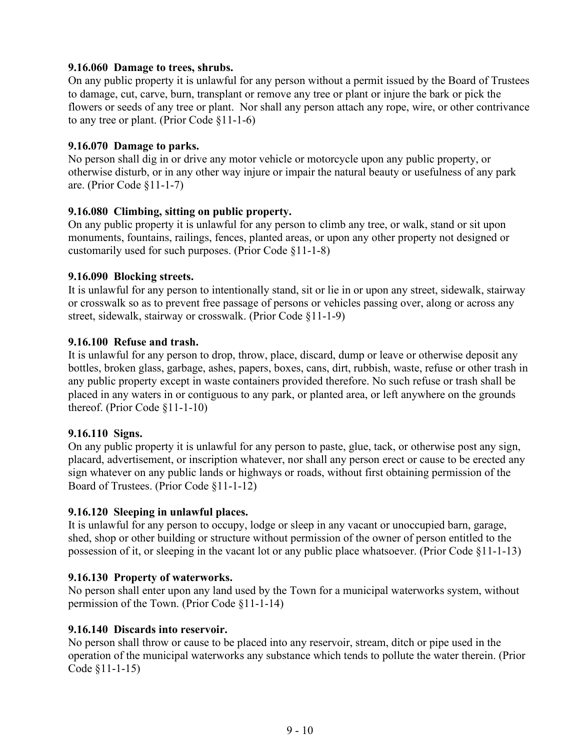## **9.16.060 Damage to trees, shrubs.**

On any public property it is unlawful for any person without a permit issued by the Board of Trustees to damage, cut, carve, burn, transplant or remove any tree or plant or injure the bark or pick the flowers or seeds of any tree or plant. Nor shall any person attach any rope, wire, or other contrivance to any tree or plant. (Prior Code §11-1-6)

#### **9.16.070 Damage to parks.**

No person shall dig in or drive any motor vehicle or motorcycle upon any public property, or otherwise disturb, or in any other way injure or impair the natural beauty or usefulness of any park are. (Prior Code §11-1-7)

### **9.16.080 Climbing, sitting on public property.**

On any public property it is unlawful for any person to climb any tree, or walk, stand or sit upon monuments, fountains, railings, fences, planted areas, or upon any other property not designed or customarily used for such purposes. (Prior Code §11-1-8)

#### **9.16.090 Blocking streets.**

It is unlawful for any person to intentionally stand, sit or lie in or upon any street, sidewalk, stairway or crosswalk so as to prevent free passage of persons or vehicles passing over, along or across any street, sidewalk, stairway or crosswalk. (Prior Code §11-1-9)

### **9.16.100 Refuse and trash.**

It is unlawful for any person to drop, throw, place, discard, dump or leave or otherwise deposit any bottles, broken glass, garbage, ashes, papers, boxes, cans, dirt, rubbish, waste, refuse or other trash in any public property except in waste containers provided therefore. No such refuse or trash shall be placed in any waters in or contiguous to any park, or planted area, or left anywhere on the grounds thereof. (Prior Code §11-1-10)

#### **9.16.110 Signs.**

On any public property it is unlawful for any person to paste, glue, tack, or otherwise post any sign, placard, advertisement, or inscription whatever, nor shall any person erect or cause to be erected any sign whatever on any public lands or highways or roads, without first obtaining permission of the Board of Trustees. (Prior Code §11-1-12)

#### **9.16.120 Sleeping in unlawful places.**

It is unlawful for any person to occupy, lodge or sleep in any vacant or unoccupied barn, garage, shed, shop or other building or structure without permission of the owner of person entitled to the possession of it, or sleeping in the vacant lot or any public place whatsoever. (Prior Code §11-1-13)

#### **9.16.130 Property of waterworks.**

No person shall enter upon any land used by the Town for a municipal waterworks system, without permission of the Town. (Prior Code §11-1-14)

# **9.16.140 Discards into reservoir.**

No person shall throw or cause to be placed into any reservoir, stream, ditch or pipe used in the operation of the municipal waterworks any substance which tends to pollute the water therein. (Prior Code §11-1-15)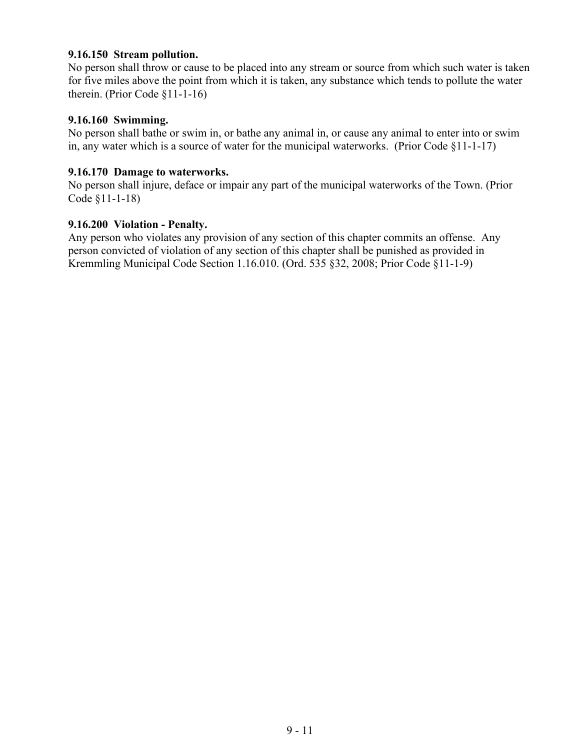#### **9.16.150 Stream pollution.**

No person shall throw or cause to be placed into any stream or source from which such water is taken for five miles above the point from which it is taken, any substance which tends to pollute the water therein. (Prior Code §11-1-16)

#### **9.16.160 Swimming.**

No person shall bathe or swim in, or bathe any animal in, or cause any animal to enter into or swim in, any water which is a source of water for the municipal waterworks. (Prior Code §11-1-17)

### **9.16.170 Damage to waterworks.**

No person shall injure, deface or impair any part of the municipal waterworks of the Town. (Prior Code §11-1-18)

#### **9.16.200 Violation - Penalty.**

Any person who violates any provision of any section of this chapter commits an offense. Any person convicted of violation of any section of this chapter shall be punished as provided in Kremmling Municipal Code Section 1.16.010. (Ord. 535 §32, 2008; Prior Code §11-1-9)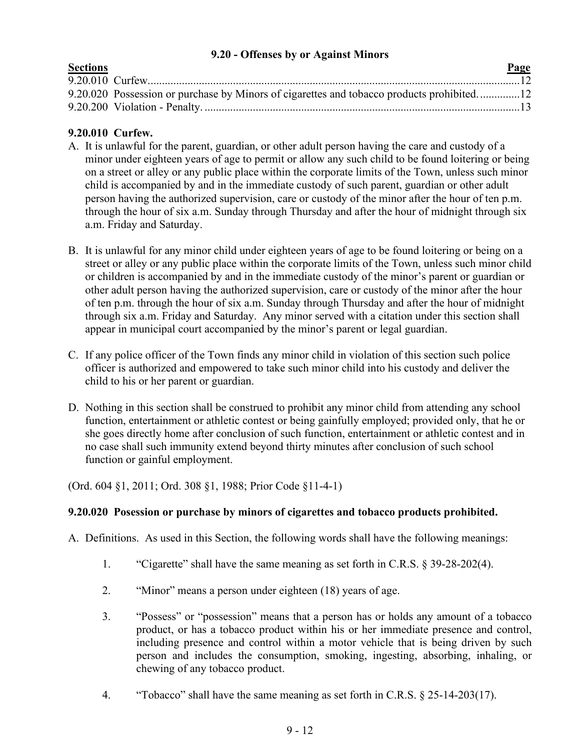## **9.20 - Offenses by or Against Minors**

<span id="page-11-0"></span>

| <b>Sections</b> |                                                                                           | Page |
|-----------------|-------------------------------------------------------------------------------------------|------|
|                 |                                                                                           |      |
|                 | 9.20.020 Possession or purchase by Minors of cigarettes and tobacco products prohibited12 |      |
|                 |                                                                                           |      |

# **9.20.010 Curfew.**

- A. It is unlawful for the parent, guardian, or other adult person having the care and custody of a minor under eighteen years of age to permit or allow any such child to be found loitering or being on a street or alley or any public place within the corporate limits of the Town, unless such minor child is accompanied by and in the immediate custody of such parent, guardian or other adult person having the authorized supervision, care or custody of the minor after the hour of ten p.m. through the hour of six a.m. Sunday through Thursday and after the hour of midnight through six a.m. Friday and Saturday.
- B. It is unlawful for any minor child under eighteen years of age to be found loitering or being on a street or alley or any public place within the corporate limits of the Town, unless such minor child or children is accompanied by and in the immediate custody of the minor's parent or guardian or other adult person having the authorized supervision, care or custody of the minor after the hour of ten p.m. through the hour of six a.m. Sunday through Thursday and after the hour of midnight through six a.m. Friday and Saturday. Any minor served with a citation under this section shall appear in municipal court accompanied by the minor's parent or legal guardian.
- C. If any police officer of the Town finds any minor child in violation of this section such police officer is authorized and empowered to take such minor child into his custody and deliver the child to his or her parent or guardian.
- D. Nothing in this section shall be construed to prohibit any minor child from attending any school function, entertainment or athletic contest or being gainfully employed; provided only, that he or she goes directly home after conclusion of such function, entertainment or athletic contest and in no case shall such immunity extend beyond thirty minutes after conclusion of such school function or gainful employment.

(Ord. 604 §1, 2011; Ord. 308 §1, 1988; Prior Code §11-4-1)

# **9.20.020 Posession or purchase by minors of cigarettes and tobacco products prohibited.**

- A. Definitions. As used in this Section, the following words shall have the following meanings:
	- 1. "Cigarette" shall have the same meaning as set forth in C.R.S. § 39-28-202(4).
	- 2. "Minor" means a person under eighteen (18) years of age.
	- 3. "Possess" or "possession" means that a person has or holds any amount of a tobacco product, or has a tobacco product within his or her immediate presence and control, including presence and control within a motor vehicle that is being driven by such person and includes the consumption, smoking, ingesting, absorbing, inhaling, or chewing of any tobacco product.
	- 4. "Tobacco" shall have the same meaning as set forth in C.R.S. § 25-14-203(17).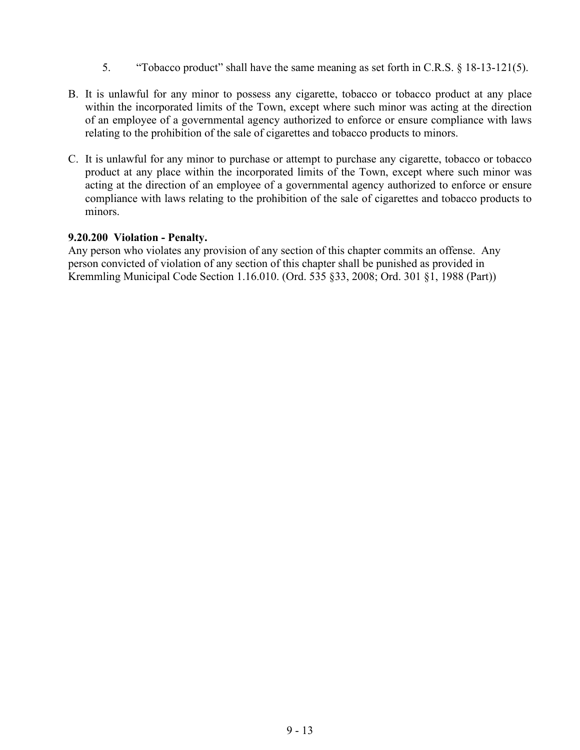- 5. "Tobacco product" shall have the same meaning as set forth in C.R.S. § 18-13-121(5).
- B. It is unlawful for any minor to possess any cigarette, tobacco or tobacco product at any place within the incorporated limits of the Town, except where such minor was acting at the direction of an employee of a governmental agency authorized to enforce or ensure compliance with laws relating to the prohibition of the sale of cigarettes and tobacco products to minors.
- C. It is unlawful for any minor to purchase or attempt to purchase any cigarette, tobacco or tobacco product at any place within the incorporated limits of the Town, except where such minor was acting at the direction of an employee of a governmental agency authorized to enforce or ensure compliance with laws relating to the prohibition of the sale of cigarettes and tobacco products to minors.

#### **9.20.200 Violation - Penalty.**

Any person who violates any provision of any section of this chapter commits an offense. Any person convicted of violation of any section of this chapter shall be punished as provided in Kremmling Municipal Code Section 1.16.010. (Ord. 535 §33, 2008; Ord. 301 §1, 1988 (Part))